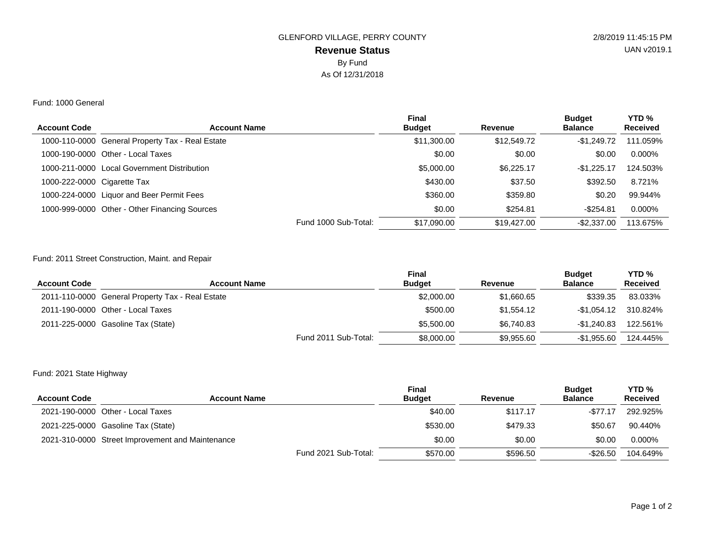# **Revenue Status** GLENFORD VILLAGE, PERRY COUNTY 2/8/2019 11:45:15 PM By Fund As Of 12/31/2018

#### Fund: 1000 General

| <b>Account Code</b>         | <b>Account Name</b>                              | <b>Final</b><br><b>Budget</b> | Revenue     | <b>Budget</b><br><b>Balance</b> | YTD <sub>%</sub><br><b>Received</b> |
|-----------------------------|--------------------------------------------------|-------------------------------|-------------|---------------------------------|-------------------------------------|
|                             | 1000-110-0000 General Property Tax - Real Estate | \$11,300.00                   | \$12,549.72 | $-$1.249.72$                    | 111.059%                            |
|                             | 1000-190-0000 Other - Local Taxes                | \$0.00                        | \$0.00      | \$0.00                          | $0.000\%$                           |
|                             | 1000-211-0000 Local Government Distribution      | \$5,000,00                    | \$6,225.17  | $-$1.225.17$                    | 124.503%                            |
| 1000-222-0000 Cigarette Tax |                                                  | \$430.00                      | \$37.50     | \$392.50                        | 8.721%                              |
|                             | 1000-224-0000 Liquor and Beer Permit Fees        | \$360.00                      | \$359.80    | \$0.20                          | 99.944%                             |
|                             | 1000-999-0000 Other - Other Financing Sources    | \$0.00                        | \$254.81    | $-$ \$254.81                    | 0.000%                              |
|                             | Fund 1000 Sub-Total:                             | \$17,090.00                   | \$19,427.00 | $-$ \$2.337.00                  | 113.675%                            |

### Fund: 2011 Street Construction, Maint. and Repair

| <b>Account Code</b> | <b>Account Name</b>                              | <b>Final</b><br><b>Budget</b> | Revenue    | <b>Budget</b><br><b>Balance</b> | YTD <sub>%</sub><br><b>Received</b> |
|---------------------|--------------------------------------------------|-------------------------------|------------|---------------------------------|-------------------------------------|
|                     | 2011-110-0000 General Property Tax - Real Estate | \$2,000.00                    | \$1,660,65 | \$339.35                        | 83.033%                             |
|                     | 2011-190-0000 Other - Local Taxes                | \$500.00                      | \$1.554.12 | -\$1.054.12                     | 310.824%                            |
|                     | 2011-225-0000 Gasoline Tax (State)               | \$5,500,00                    | \$6,740.83 | $-$1.240.83$                    | 122.561%                            |
|                     | Fund 2011 Sub-Total:                             | \$8,000.00                    | \$9.955.60 | $-$1.955.60$                    | 124.445%                            |

## Fund: 2021 State Highway

| <b>Account Code</b> | <b>Account Name</b>                              | <b>Final</b><br><b>Budget</b> | Revenue  | <b>Budget</b><br><b>Balance</b> | YTD <sub>%</sub><br><b>Received</b> |
|---------------------|--------------------------------------------------|-------------------------------|----------|---------------------------------|-------------------------------------|
|                     | 2021-190-0000 Other - Local Taxes                | \$40.00                       | \$117.17 | $-$77.17$                       | 292.925%                            |
|                     | 2021-225-0000 Gasoline Tax (State)               | \$530.00                      | \$479.33 | \$50.67                         | 90.440%                             |
|                     | 2021-310-0000 Street Improvement and Maintenance | \$0.00                        | \$0.00   | \$0.00                          | $0.000\%$                           |
|                     | Fund 2021 Sub-Total:                             | \$570.00                      | \$596.50 | $-$ \$26.50                     | 104.649%                            |